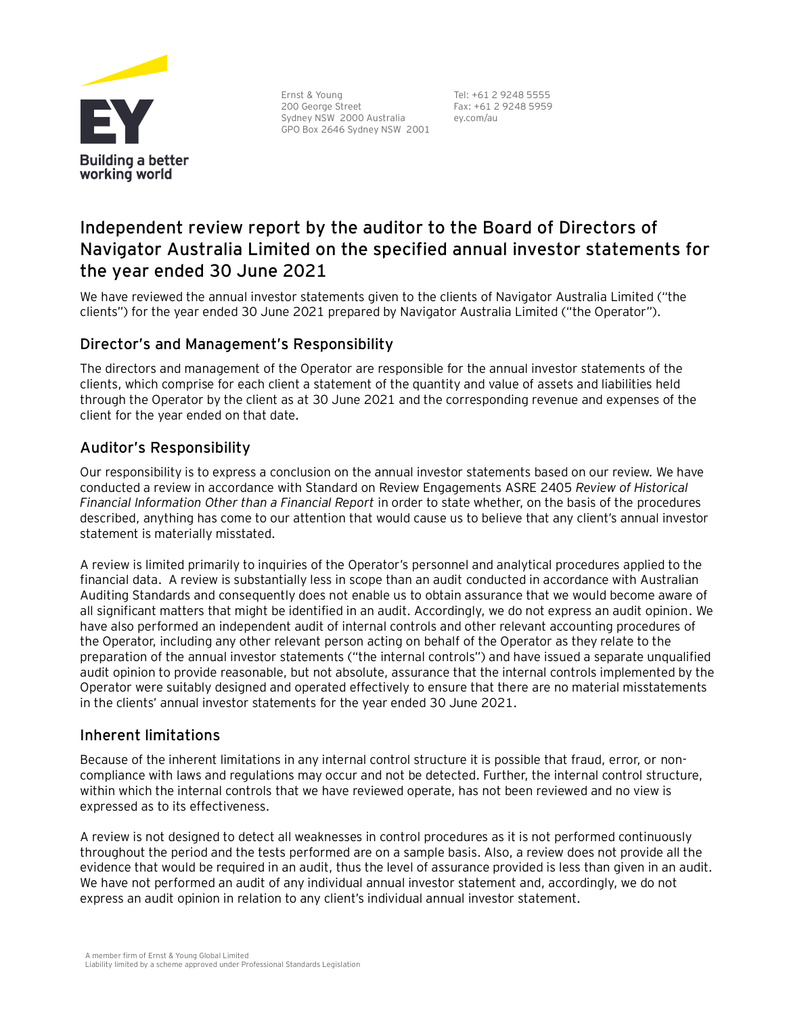

Ernst & Young 200 George Street Sydney NSW 2000 Australia GPO Box 2646 Sydney NSW 2001

Tel: +61 2 9248 5555 Fax: +61 2 9248 5959 ey.com/au

# **Independent review report by the auditor to the Board of Directors of Navigator Australia Limited on the specified annual investor statements for the year ended 30 June 2021**

We have reviewed the annual investor statements given to the clients of Navigator Australia Limited ("the clients") for the year ended 30 June 2021 prepared by Navigator Australia Limited ("the Operator").

## Director's and Management's Responsibility

The directors and management of the Operator are responsible for the annual investor statements of the clients, which comprise for each client a statement of the quantity and value of assets and liabilities held through the Operator by the client as at 30 June 2021 and the corresponding revenue and expenses of the client for the year ended on that date.

# Auditor's Responsibility

Our responsibility is to express a conclusion on the annual investor statements based on our review. We have conducted a review in accordance with Standard on Review Engagements ASRE 2405 *Review of Historical Financial Information Other than a Financial Report* in order to state whether, on the basis of the procedures described, anything has come to our attention that would cause us to believe that any client's annual investor statement is materially misstated.

A review is limited primarily to inquiries of the Operator's personnel and analytical procedures applied to the financial data. A review is substantially less in scope than an audit conducted in accordance with Australian Auditing Standards and consequently does not enable us to obtain assurance that we would become aware of all significant matters that might be identified in an audit. Accordingly, we do not express an audit opinion. We have also performed an independent audit of internal controls and other relevant accounting procedures of the Operator, including any other relevant person acting on behalf of the Operator as they relate to the preparation of the annual investor statements ("the internal controls") and have issued a separate unqualified audit opinion to provide reasonable, but not absolute, assurance that the internal controls implemented by the Operator were suitably designed and operated effectively to ensure that there are no material misstatements in the clients' annual investor statements for the year ended 30 June 2021.

#### Inherent limitations

Because of the inherent limitations in any internal control structure it is possible that fraud, error, or noncompliance with laws and regulations may occur and not be detected. Further, the internal control structure, within which the internal controls that we have reviewed operate, has not been reviewed and no view is expressed as to its effectiveness.

A review is not designed to detect all weaknesses in control procedures as it is not performed continuously throughout the period and the tests performed are on a sample basis. Also, a review does not provide all the evidence that would be required in an audit, thus the level of assurance provided is less than given in an audit. We have not performed an audit of any individual annual investor statement and, accordingly, we do not express an audit opinion in relation to any client's individual annual investor statement.